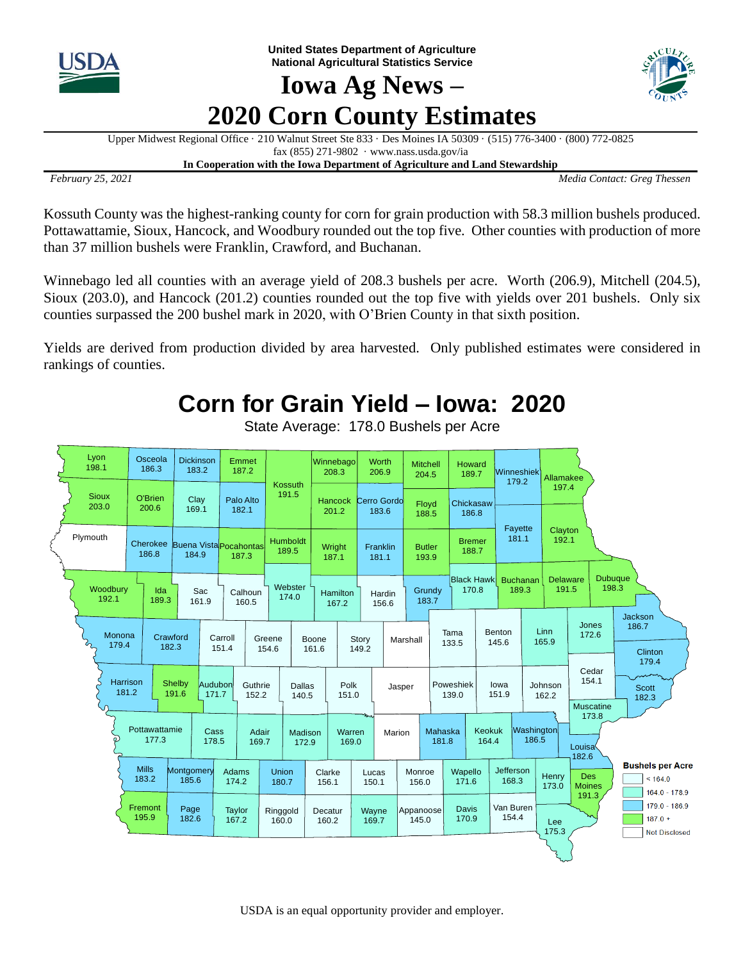

**United States Department of Agriculture National Agricultural Statistics Service**

## **Iowa Ag News – 2020 Corn County Estimates**



Upper Midwest Regional Office · 210 Walnut Street Ste 833 · Des Moines IA 50309 · (515) 776-3400 · (800) 772-0825 fax (855) 271-9802 · www.nass.usda.gov/ia **In Cooperation with the Iowa Department of Agriculture and Land Stewardship**

*February 25, 2021 Media Contact: Greg Thessen*

Kossuth County was the highest-ranking county for corn for grain production with 58.3 million bushels produced. Pottawattamie, Sioux, Hancock, and Woodbury rounded out the top five. Other counties with production of more than 37 million bushels were Franklin, Crawford, and Buchanan.

Winnebago led all counties with an average yield of 208.3 bushels per acre. Worth (206.9), Mitchell (204.5), Sioux (203.0), and Hancock (201.2) counties rounded out the top five with yields over 201 bushels. Only six counties surpassed the 200 bushel mark in 2020, with O'Brien County in that sixth position.

Yields are derived from production divided by area harvested. Only published estimates were considered in rankings of counties.

## **Corn for Grain Yield – Iowa: 2020**



State Average: 178.0 Bushels per Acre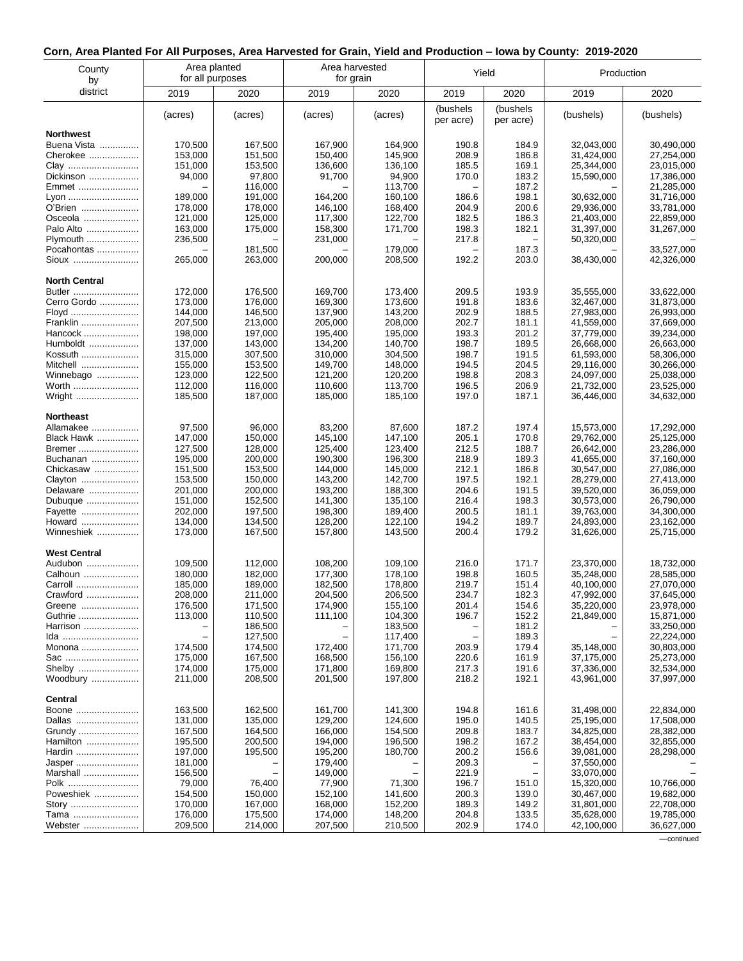## **Corn, Area Planted For All Purposes, Area Harvested for Grain, Yield and Production – Iowa by County: 2019-2020**

| County<br>by            | Area planted<br>for all purposes |                    | Area harvested<br>for grain |                    | Yield                 |                       | Production               |                          |
|-------------------------|----------------------------------|--------------------|-----------------------------|--------------------|-----------------------|-----------------------|--------------------------|--------------------------|
| district                | 2019                             | 2020               | 2019                        | 2020               | 2019                  | 2020                  | 2019                     | 2020                     |
|                         | (acres)                          | (acres)            | (acres)                     | (acres)            | (bushels<br>per acre) | (bushels<br>per acre) | (bushels)                | (bushels)                |
| <b>Northwest</b>        |                                  |                    |                             |                    |                       |                       |                          |                          |
| Buena Vista             | 170,500                          | 167,500            | 167,900                     | 164,900            | 190.8                 | 184.9                 | 32,043,000               | 30.490.000               |
| Cherokee<br>Clay        | 153,000<br>151,000               | 151,500<br>153,500 | 150,400<br>136,600          | 145,900<br>136,100 | 208.9<br>185.5        | 186.8<br>169.1        | 31,424,000<br>25,344,000 | 27,254,000<br>23,015,000 |
| Dickinson               | 94,000                           | 97,800             | 91,700                      | 94,900             | 170.0                 | 183.2                 | 15,590,000               | 17,386,000               |
| Emmet                   |                                  | 116,000            |                             | 113,700            |                       | 187.2                 |                          | 21,285,000               |
| Lyon                    | 189,000                          | 191,000            | 164,200                     | 160,100            | 186.6                 | 198.1                 | 30,632,000               | 31,716,000               |
| O'Brien                 | 178,000                          | 178,000            | 146,100                     | 168,400            | 204.9                 | 200.6                 | 29,936,000               | 33,781,000               |
| Osceola                 | 121,000                          | 125,000            | 117,300                     | 122,700            | 182.5                 | 186.3                 | 21,403,000               | 22,859,000               |
| Palo Alto<br>Plymouth   | 163,000<br>236,500               | 175,000            | 158,300<br>231,000          | 171,700            | 198.3<br>217.8        | 182.1                 | 31,397,000<br>50,320,000 | 31,267,000               |
| Pocahontas              |                                  | 181,500            |                             | 179,000            |                       | 187.3                 |                          | 33,527,000               |
| Sioux                   | 265,000                          | 263,000            | 200,000                     | 208,500            | 192.2                 | 203.0                 | 38,430,000               | 42,326,000               |
| <b>North Central</b>    |                                  |                    |                             |                    |                       |                       |                          |                          |
| Butler                  | 172,000                          | 176,500            | 169,700                     | 173,400            | 209.5                 | 193.9                 | 35,555,000               | 33,622,000               |
| Cerro Gordo             | 173,000                          | 176,000            | 169,300                     | 173,600            | 191.8                 | 183.6                 | 32,467,000               | 31,873,000               |
| Floyd<br>Franklin       | 144,000<br>207,500               | 146,500<br>213,000 | 137,900<br>205,000          | 143,200<br>208,000 | 202.9<br>202.7        | 188.5<br>181.1        | 27,983,000<br>41,559,000 | 26,993,000<br>37,669,000 |
| Hancock                 | 198,000                          | 197,000            | 195,400                     | 195.000            | 193.3                 | 201.2                 | 37,779,000               | 39,234,000               |
| Humboldt                | 137,000                          | 143,000            | 134,200                     | 140,700            | 198.7                 | 189.5                 | 26,668,000               | 26,663,000               |
| Kossuth                 | 315,000                          | 307,500            | 310,000                     | 304,500            | 198.7                 | 191.5                 | 61,593,000               | 58,306,000               |
| Mitchell                | 155,000                          | 153,500            | 149,700                     | 148,000            | 194.5                 | 204.5                 | 29,116,000               | 30,266,000               |
| Winnebago               | 123,000                          | 122,500            | 121.200                     | 120,200            | 198.8                 | 208.3                 | 24,097,000               | 25,038,000               |
| Worth<br>Wright         | 112,000<br>185,500               | 116,000<br>187,000 | 110,600<br>185,000          | 113,700<br>185,100 | 196.5<br>197.0        | 206.9<br>187.1        | 21,732,000<br>36,446,000 | 23,525,000<br>34,632,000 |
|                         |                                  |                    |                             |                    |                       |                       |                          |                          |
| <b>Northeast</b>        |                                  |                    |                             |                    |                       |                       |                          |                          |
| Allamakee<br>Black Hawk | 97,500<br>147,000                | 96,000<br>150,000  | 83,200<br>145,100           | 87,600<br>147,100  | 187.2<br>205.1        | 197.4<br>170.8        | 15,573,000<br>29,762,000 | 17,292,000<br>25,125,000 |
| Bremer                  | 127,500                          | 128,000            | 125,400                     | 123,400            | 212.5                 | 188.7                 | 26,642,000               | 23,286,000               |
| Buchanan                | 195,000                          | 200,000            | 190,300                     | 196,300            | 218.9                 | 189.3                 | 41,655,000               | 37,160,000               |
| Chickasaw               | 151,500                          | 153,500            | 144,000                     | 145,000            | 212.1                 | 186.8                 | 30,547,000               | 27,086,000               |
| Clayton                 | 153,500                          | 150,000            | 143,200                     | 142,700            | 197.5                 | 192.1                 | 28,279,000               | 27,413,000               |
| Delaware                | 201,000                          | 200,000            | 193,200                     | 188,300            | 204.6                 | 191.5                 | 39,520,000               | 36,059,000               |
| Dubuque<br>Fayette      | 151,000<br>202,000               | 152,500<br>197,500 | 141,300<br>198,300          | 135,100<br>189,400 | 216.4<br>200.5        | 198.3<br>181.1        | 30,573,000<br>39,763,000 | 26,790,000<br>34,300,000 |
| Howard                  | 134,000                          | 134,500            | 128,200                     | 122,100            | 194.2                 | 189.7                 | 24,893,000               | 23,162,000               |
| Winneshiek              | 173,000                          | 167,500            | 157,800                     | 143,500            | 200.4                 | 179.2                 | 31,626,000               | 25,715,000               |
| <b>West Central</b>     |                                  |                    |                             |                    |                       |                       |                          |                          |
| Audubon                 | 109,500                          | 112,000            | 108,200                     | 109,100            | 216.0                 | 171.7                 | 23,370,000               | 18,732,000               |
| Calhoun                 | 180,000                          | 182,000            | 177,300                     | 178,100            | 198.8<br>219.7        | 160.5                 | 35,248,000<br>40,100,000 | 28,585,000               |
| Carroll<br>Crawford     | 185,000<br>208,000               | 189,000<br>211,000 | 182,500<br>204,500          | 178,800<br>206,500 | 234.7                 | 151.4<br>182.3        | 47,992,000               | 27,070,000<br>37,645,000 |
| Greene                  | 176,500                          | 171,500            | 174,900                     | 155,100            | 201.4                 | 154.6                 | 35,220,000               | 23,978,000               |
| Guthrie                 | 113,000                          | 110,500            | 111,100                     | 104,300            | 196.7                 | 152.2                 | 21,849,000               | 15,871,000               |
| Harrison                |                                  | 186,500            |                             | 183,500            |                       | 181.2                 |                          | 33,250,000               |
| Ida                     |                                  | 127,500            |                             | 117,400            |                       | 189.3                 |                          | 22,224,000               |
| Monona<br>Sac           | 174,500<br>175,000               | 174,500<br>167,500 | 172,400<br>168,500          | 171,700<br>156,100 | 203.9<br>220.6        | 179.4<br>161.9        | 35,148,000<br>37,175,000 | 30,803,000<br>25,273,000 |
| Shelby                  | 174,000                          | 175,000            | 171,800                     | 169,800            | 217.3                 | 191.6                 | 37,336,000               | 32,534,000               |
| Woodbury                | 211,000                          | 208,500            | 201,500                     | 197,800            | 218.2                 | 192.1                 | 43,961,000               | 37,997,000               |
| Central                 |                                  |                    |                             |                    |                       |                       |                          |                          |
| Boone                   | 163,500                          | 162,500            | 161,700                     | 141,300            | 194.8                 | 161.6                 | 31,498,000               | 22,834,000               |
| Dallas<br>Grundy        | 131,000<br>167,500               | 135,000<br>164,500 | 129,200<br>166,000          | 124,600<br>154,500 | 195.0<br>209.8        | 140.5<br>183.7        | 25,195,000<br>34,825,000 | 17,508,000<br>28,382,000 |
| Hamilton                | 195,500                          | 200,500            | 194,000                     | 196,500            | 198.2                 | 167.2                 | 38,454,000               | 32,855,000               |
| Hardin                  | 197,000                          | 195,500            | 195,200                     | 180,700            | 200.2                 | 156.6                 | 39,081,000               | 28,298,000               |
| Jasper                  | 181,000                          |                    | 179,400                     |                    | 209.3                 |                       | 37,550,000               |                          |
| Marshall                | 156,500                          |                    | 149,000                     |                    | 221.9                 |                       | 33,070,000               |                          |
| Polk                    | 79,000                           | 76,400             | 77,900                      | 71,300             | 196.7                 | 151.0                 | 15,320,000               | 10,766,000               |
| Poweshiek<br>Story      | 154,500<br>170,000               | 150,000<br>167,000 | 152,100<br>168,000          | 141,600<br>152,200 | 200.3<br>189.3        | 139.0<br>149.2        | 30,467,000<br>31,801,000 | 19,682,000<br>22,708,000 |
| Tama                    | 176,000                          | 175,500            | 174,000                     | 148,200            | 204.8                 | 133.5                 | 35,628,000               | 19,785,000               |
| Webster                 | 209,500                          | 214,000            | 207,500                     | 210,500            | 202.9                 | 174.0                 | 42,100,000               | 36,627,000               |

––continued